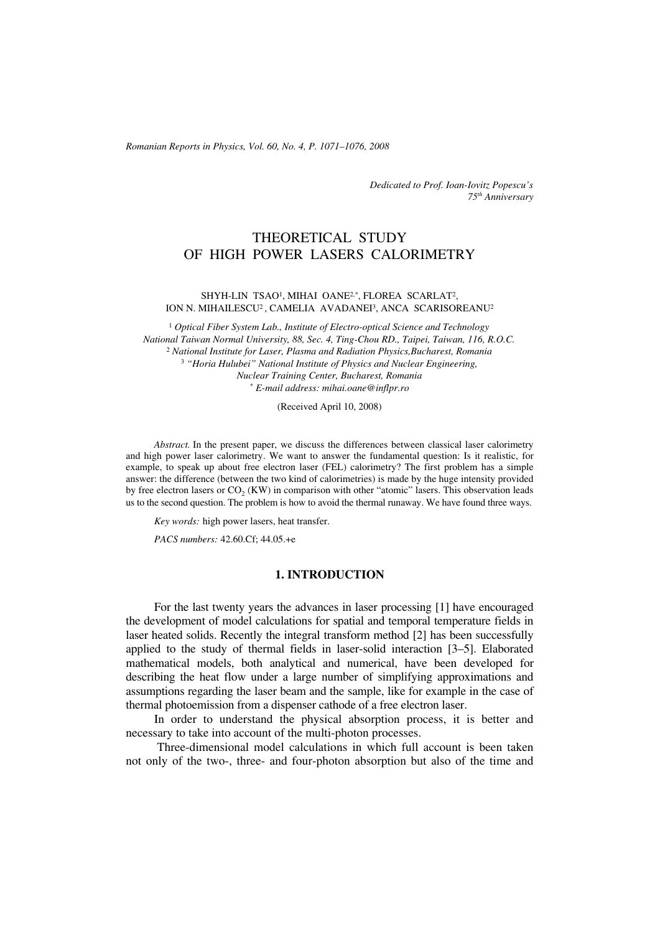*Romanian Reports in Physics, Vol. 60, No. 4, P. 1071–1076, 2008*

*Dedicated to Prof. Ioan-Iovitz Popescu's 75th Anniversary*

# THEORETICAL STUDY OF HIGH POWER LASERS CALORIMETRY

### SHYH-LIN TSAO<sup>1</sup>, MIHAI OANE<sup>2,\*</sup>, FLOREA SCARLAT<sup>2</sup>, ION N. MIHAILESCU2 , CAMELIA AVADANEI3, ANCA SCARISOREANU2

<sup>1</sup> *Optical Fiber System Lab., Institute of Electro-optical Science and Technology National Taiwan Normal University, 88, Sec. 4, Ting-Chou RD., Taipei, Taiwan, 116, R.O.C.* <sup>2</sup> *National Institute for Laser, Plasma and Radiation Physics,Bucharest, Romania* <sup>3</sup> *"Horia Hulubei" National Institute of Physics and Nuclear Engineering, Nuclear Training Center, Bucharest, Romania* \* *E-mail address: mihai.oane@inflpr.ro*

(Received April 10, 2008)

*Abstract.* In the present paper, we discuss the differences between classical laser calorimetry and high power laser calorimetry. We want to answer the fundamental question: Is it realistic, for example, to speak up about free electron laser (FEL) calorimetry? The first problem has a simple answer: the difference (between the two kind of calorimetries) is made by the huge intensity provided by free electron lasers or  $CO_2$  (KW) in comparison with other "atomic" lasers. This observation leads us to the second question. The problem is how to avoid the thermal runaway. We have found three ways.

*Key words:* high power lasers, heat transfer.

*PACS numbers:* 42.60.Cf; 44.05.+e

### **1. INTRODUCTION**

For the last twenty years the advances in laser processing [1] have encouraged the development of model calculations for spatial and temporal temperature fields in laser heated solids. Recently the integral transform method [2] has been successfully applied to the study of thermal fields in laser-solid interaction [3–5]. Elaborated mathematical models, both analytical and numerical, have been developed for describing the heat flow under a large number of simplifying approximations and assumptions regarding the laser beam and the sample, like for example in the case of thermal photoemission from a dispenser cathode of a free electron laser.

In order to understand the physical absorption process, it is better and necessary to take into account of the multi-photon processes.

 Three-dimensional model calculations in which full account is been taken not only of the two-, three- and four-photon absorption but also of the time and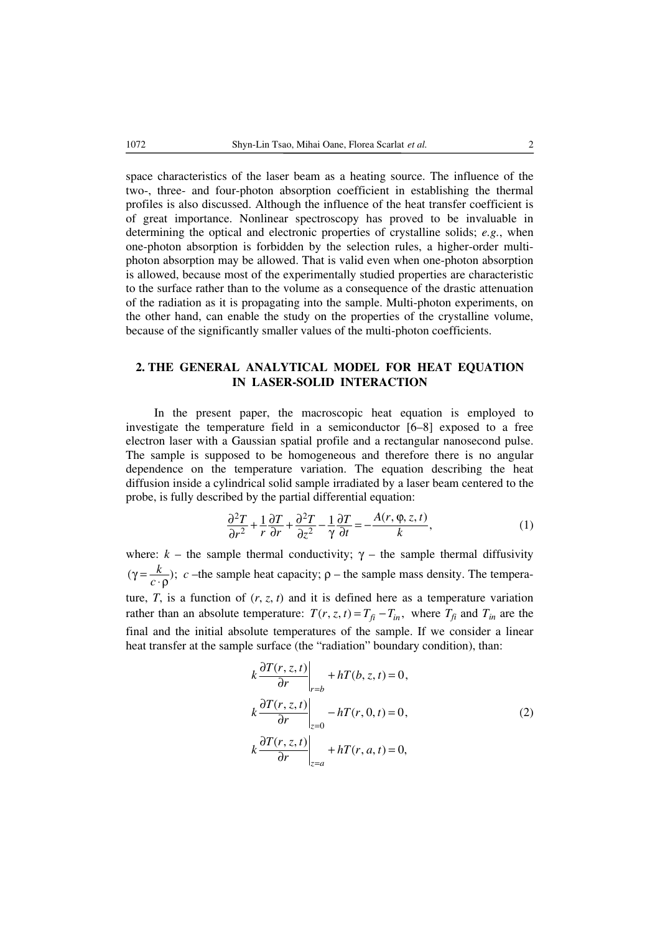space characteristics of the laser beam as a heating source. The influence of the two-, three- and four-photon absorption coefficient in establishing the thermal profiles is also discussed. Although the influence of the heat transfer coefficient is of great importance. Nonlinear spectroscopy has proved to be invaluable in determining the optical and electronic properties of crystalline solids; *e.g.*, when one-photon absorption is forbidden by the selection rules, a higher-order multiphoton absorption may be allowed. That is valid even when one-photon absorption is allowed, because most of the experimentally studied properties are characteristic to the surface rather than to the volume as a consequence of the drastic attenuation of the radiation as it is propagating into the sample. Multi-photon experiments, on the other hand, can enable the study on the properties of the crystalline volume, because of the significantly smaller values of the multi-photon coefficients.

# **2. THE GENERAL ANALYTICAL MODEL FOR HEAT EQUATION IN LASER-SOLID INTERACTION**

In the present paper, the macroscopic heat equation is employed to investigate the temperature field in a semiconductor [6–8] exposed to a free electron laser with a Gaussian spatial profile and a rectangular nanosecond pulse. The sample is supposed to be homogeneous and therefore there is no angular dependence on the temperature variation. The equation describing the heat diffusion inside a cylindrical solid sample irradiated by a laser beam centered to the probe, is fully described by the partial differential equation:

$$
\frac{\partial^2 T}{\partial r^2} + \frac{1}{r} \frac{\partial T}{\partial r} + \frac{\partial^2 T}{\partial z^2} - \frac{1}{\gamma} \frac{\partial T}{\partial t} = -\frac{A(r, \varphi, z, t)}{k},\tag{1}
$$

where:  $k -$  the sample thermal conductivity;  $\gamma$  – the sample thermal diffusivity  $(\gamma = \frac{k}{c \cdot \rho}); c$  –the sample heat capacity;  $\rho$  – the sample mass density. The temperature,  $T$ , is a function of  $(r, z, t)$  and it is defined here as a temperature variation rather than an absolute temperature:  $T(r, z, t) = T_{fi} - T_{in}$ , where  $T_{fi}$  and  $T_{in}$  are the final and the initial absolute temperatures of the sample. If we consider a linear heat transfer at the sample surface (the "radiation" boundary condition), than: ∂

$$
k \frac{\partial T(r, z, t)}{\partial r}\Big|_{r=b} + hT(b, z, t) = 0,
$$
  
\n
$$
k \frac{\partial T(r, z, t)}{\partial r}\Big|_{z=0} - hT(r, 0, t) = 0,
$$
  
\n
$$
k \frac{\partial T(r, z, t)}{\partial r}\Big|_{z=a} + hT(r, a, t) = 0,
$$
\n(2)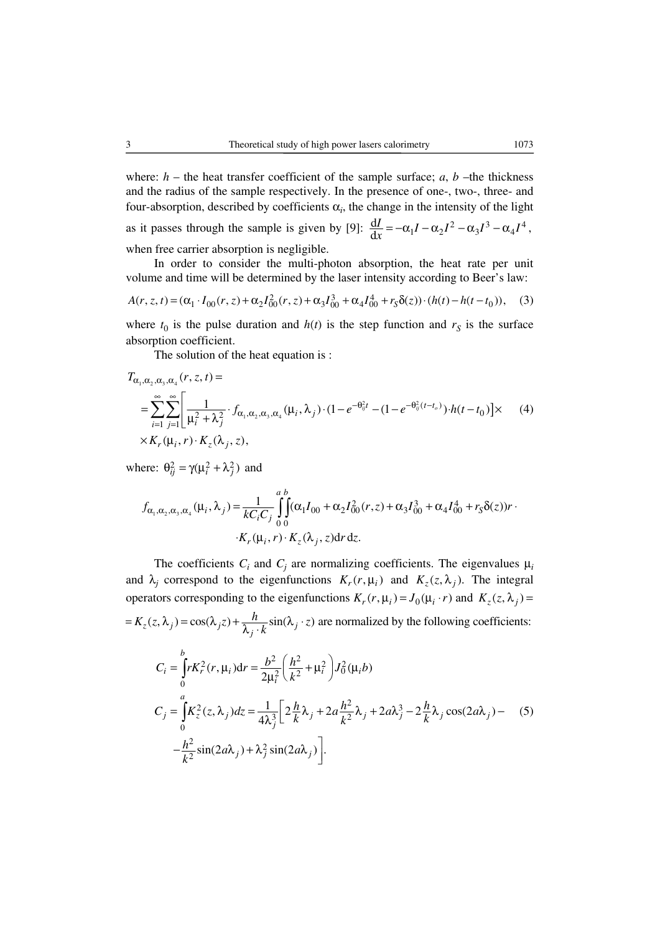where:  $h$  – the heat transfer coefficient of the sample surface;  $a, b$  –the thickness and the radius of the sample respectively. In the presence of one-, two-, three- and four-absorption, described by coefficients  $\alpha_i$ , the change in the intensity of the light as it passes through the sample is given by [9]:  $\frac{dI}{dx} = -\alpha_1 I - \alpha_2 I^2 - \alpha_3 I^3 - \alpha_4 I^4$ , when free carrier absorption is negligible.

In order to consider the multi-photon absorption, the heat rate per unit volume and time will be determined by the laser intensity according to Beer's law:

$$
A(r, z, t) = (\alpha_1 \cdot I_{00}(r, z) + \alpha_2 I_{00}^2(r, z) + \alpha_3 I_{00}^3 + \alpha_4 I_{00}^4 + r_S \delta(z)) \cdot (h(t) - h(t - t_0)), \quad (3)
$$

where  $t_0$  is the pulse duration and  $h(t)$  is the step function and  $r<sub>S</sub>$  is the surface absorption coefficient.

The solution of the heat equation is :

$$
T_{\alpha_1, \alpha_2, \alpha_3, \alpha_4}(r, z, t) =
$$
\n
$$
= \sum_{i=1}^{\infty} \sum_{j=1}^{\infty} \left[ \frac{1}{\mu_i^2 + \lambda_j^2} \cdot f_{\alpha_1, \alpha_2, \alpha_3, \alpha_4}(\mu_i, \lambda_j) \cdot (1 - e^{-\theta_{ij}^2 t} - (1 - e^{-\theta_{ij}^2 (t - t_o)}) \cdot h(t - t_0) \right] \times
$$
\n
$$
\times K_r(\mu_i, r) \cdot K_z(\lambda_j, z),
$$
\n(4)

where:  $\theta_{ii}^2 = \gamma(\mu_i^2 + \lambda_i^2)$  and

$$
f_{\alpha_1, \alpha_2, \alpha_3, \alpha_4}(\mu_i, \lambda_j) = \frac{1}{kC_iC_j} \int_0^a \int_0^b (\alpha_1 I_{00} + \alpha_2 I_{00}^2(r, z) + \alpha_3 I_{00}^3 + \alpha_4 I_{00}^4 + r_S \delta(z))r \cdot K_r(\mu_i, r) \cdot K_z(\lambda_j, z) dr dz.
$$

The coefficients  $C_i$  and  $C_j$  are normalizing coefficients. The eigenvalues  $\mu_i$ and  $\lambda_j$  correspond to the eigenfunctions  $K_r(r, \mu_i)$  and  $K_z(z, \lambda_j)$ . The integral operators corresponding to the eigenfunctions  $K_r(r, \mu_i) = J_0(\mu_i \cdot r)$  and  $K_z(z, \lambda_i) =$  $= K_z(z, \lambda_j) = \cos(\lambda_j z) + \frac{h}{\lambda_j \cdot k} \sin(\lambda_j \cdot z)$  are normalized by the following coefficients:  $2(r \text{ m})dr = \frac{b^2}{2} \left(\frac{h^2}{2} + \frac{a^2}{2}\right)I_r^2$  $\frac{1}{2} \left( \frac{1}{k^2} + \mu_i \right)$  0  $\int_0^1 r K_r^2(r,\mu_i) dr = \frac{\omega}{2\mu_i^2} \left( \frac{n}{k^2} + \mu_i^2 \right) J_0^2(\mu_i b)$  $^{2}(7 \lambda)^{d}z = \frac{1}{2} \left[ 2 \frac{h}{\lambda} + 2 \frac{h^{2}}{2} \lambda + 2 \frac{h^{3}}{2} \lambda \right]$  $3^2 k^{12}$  $\int_{0}^{a} K_{z}^{2}(z,\lambda_{j}) dz = \frac{1}{4\lambda_{j}^{3}} \left[ 2\frac{h}{k}\lambda_{j} + 2a\frac{h^{2}}{k^{2}}\lambda_{j} + 2a\lambda_{j}^{3} - 2\frac{h}{k}\lambda_{j}\cos(2a\lambda_{j}) \right]$  $\frac{2}{\pi}$ sin(2*a* $\lambda$ .) +  $\lambda$ <sup>2</sup>  $\frac{h^2}{k^2}$ sin(2*a* $\lambda_j$ ) +  $\lambda_j^2$ sin(2*a* $\lambda_j$ ) . *b*  $i = |I_{i} \cap I_{r} (I_{i} \mu_{i})$   $\mu_{i} = \frac{1}{2} |I_{i} \nabla I_{i} \mu_{i}|^{2} |I_{i} \mu_{i}$ *i*  $\sum_{j}$   $-\left|\mathbf{A}_{z}\left(z,\mathbf{A}_{j}\right)u\right| \leq \frac{1}{4} \sum_{j} \sum_{j} \left|z\right| \sum_{k} \mathbf{A}_{j} + 2a\frac{1}{4} \sum_{j} \left|z\right| \sum_{j} \left|z\right| \sum_{k} \left|z\right| \sum_{k} \left|w\right| \right|$  $C_j = \int_0^1 K_z^2(z, \lambda_j) dz = \frac{1}{4\lambda_j^3} \left[ 2\frac{h}{k}\lambda_j + 2a\frac{h^2}{k^2}\lambda_j + 2a\lambda_j^3 - 2\frac{h}{k}\lambda_j\cos(2a\lambda_j) - (5)$  $C_i = \left[ rK_r^2(r, \mu_i) dr = \frac{b^2}{r^2} \left( \frac{h^2}{r^2} + \mu_i^2 \right) J_0^2(\mu_i b) \right]$ =  $\int_{0}^{R} r K_r^2(r, \mu_i) dr = \frac{b^2}{2\mu_i^2} \left(\frac{h^2}{k^2} + \mu_i^2\right) J_0^2(\mu_i)$  $-\frac{h^2}{k^2}\sin(2a\lambda_j) + \lambda_j^2\sin(2a\lambda_j)$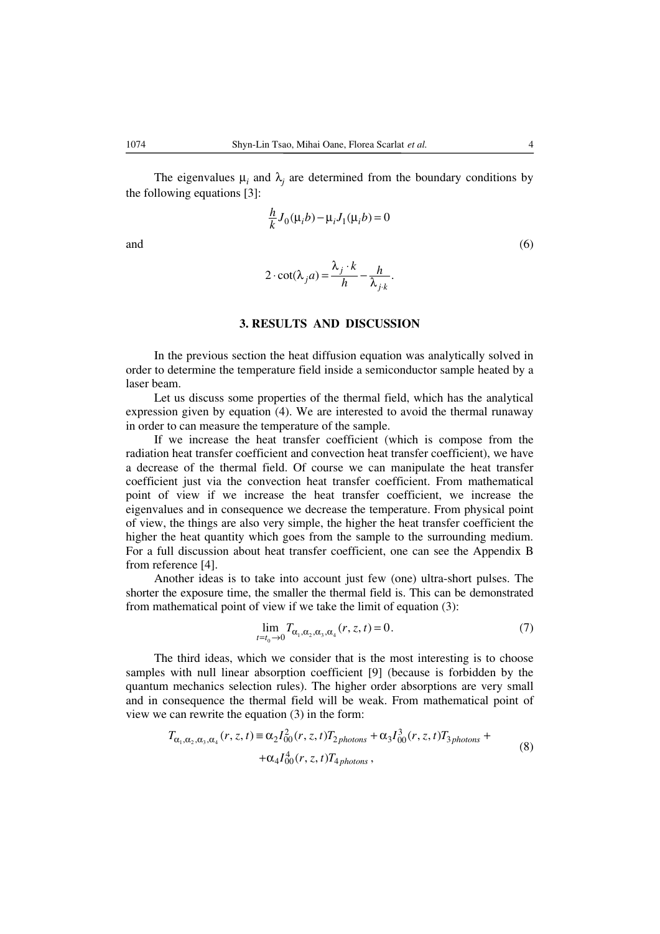The eigenvalues  $\mu_i$  and  $\lambda_j$  are determined from the boundary conditions by the following equations [3]:

 $\frac{h}{k}J_0(\mu_i b) - \mu_i J_1(\mu_i b) = 0$ and  $(6)$  $2 \cdot \cot(\lambda_i a) = \frac{\lambda_i^j \cdot \kappa}{l} - \frac{h}{\lambda}.$  $\cdot \cot(\lambda_j a) = \frac{\lambda_j \cdot k}{h} - \frac{h}{\lambda_{j \cdot k}}$ 

## **3. RESULTS AND DISCUSSION**

In the previous section the heat diffusion equation was analytically solved in order to determine the temperature field inside a semiconductor sample heated by a laser beam.

Let us discuss some properties of the thermal field, which has the analytical expression given by equation (4). We are interested to avoid the thermal runaway in order to can measure the temperature of the sample.

If we increase the heat transfer coefficient (which is compose from the radiation heat transfer coefficient and convection heat transfer coefficient), we have a decrease of the thermal field. Of course we can manipulate the heat transfer coefficient just via the convection heat transfer coefficient. From mathematical point of view if we increase the heat transfer coefficient, we increase the eigenvalues and in consequence we decrease the temperature. From physical point of view, the things are also very simple, the higher the heat transfer coefficient the higher the heat quantity which goes from the sample to the surrounding medium. For a full discussion about heat transfer coefficient, one can see the Appendix B from reference [4].

Another ideas is to take into account just few (one) ultra-short pulses. The shorter the exposure time, the smaller the thermal field is. This can be demonstrated from mathematical point of view if we take the limit of equation (3):

*t t*

$$
\lim_{t_0 \to 0} T_{\alpha_1, \alpha_2, \alpha_3, \alpha_4}(r, z, t) = 0.
$$
 (7)

The third ideas, which we consider that is the most interesting is to choose samples with null linear absorption coefficient [9] (because is forbidden by the quantum mechanics selection rules). The higher order absorptions are very small and in consequence the thermal field will be weak. From mathematical point of view we can rewrite the equation (3) in the form:

$$
T_{\alpha_1, \alpha_2, \alpha_3, \alpha_4}(r, z, t) \equiv \alpha_2 I_{00}^2(r, z, t) T_{2 \, photons} + \alpha_3 I_{00}^3(r, z, t) T_{3 \, photons} + + \alpha_4 I_{00}^4(r, z, t) T_{4 \, photons},
$$
\n(8)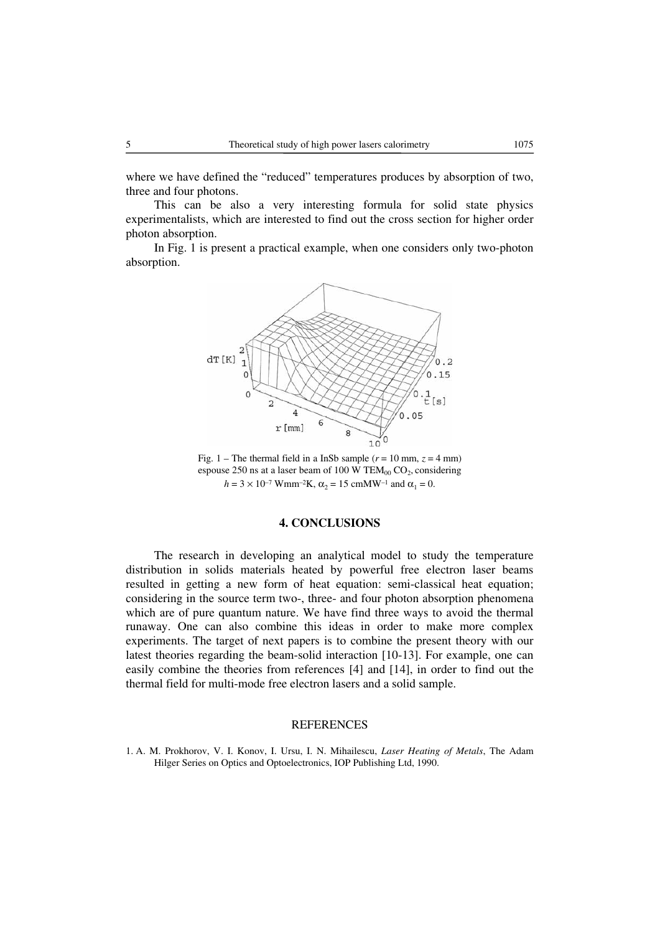where we have defined the "reduced" temperatures produces by absorption of two, three and four photons.

This can be also a very interesting formula for solid state physics experimentalists, which are interested to find out the cross section for higher order photon absorption.

In Fig. 1 is present a practical example, when one considers only two-photon absorption.



Fig. 1 – The thermal field in a InSb sample  $(r = 10 \text{ mm}, z = 4 \text{ mm})$ espouse 250 ns at a laser beam of 100 W TEM<sub>00</sub> CO<sub>2</sub>, considering  $h = 3 \times 10^{-7}$  Wmm<sup>-2</sup>K,  $\alpha_2 = 15$  cmMW<sup>-1</sup> and  $\alpha_1 = 0$ .

### **4. CONCLUSIONS**

The research in developing an analytical model to study the temperature distribution in solids materials heated by powerful free electron laser beams resulted in getting a new form of heat equation: semi-classical heat equation; considering in the source term two-, three- and four photon absorption phenomena which are of pure quantum nature. We have find three ways to avoid the thermal runaway. One can also combine this ideas in order to make more complex experiments. The target of next papers is to combine the present theory with our latest theories regarding the beam-solid interaction [10-13]. For example, one can easily combine the theories from references [4] and [14], in order to find out the thermal field for multi-mode free electron lasers and a solid sample.

### REFERENCES

1. A. M. Prokhorov, V. I. Konov, I. Ursu, I. N. Mihailescu, *Laser Heating of Metals*, The Adam Hilger Series on Optics and Optoelectronics, IOP Publishing Ltd, 1990.